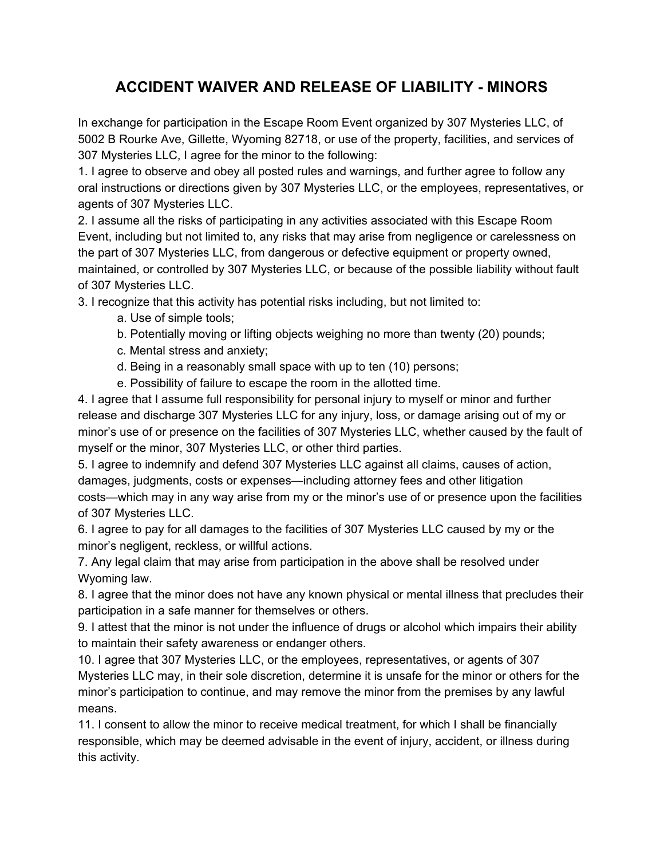## **ACCIDENT WAIVER AND RELEASE OF LIABILITY - MINORS**

In exchange for participation in the Escape Room Event organized by 307 Mysteries LLC, of 5002 B Rourke Ave, Gillette, Wyoming 82718, or use of the property, facilities, and services of 307 Mysteries LLC, I agree for the minor to the following:

1. I agree to observe and obey all posted rules and warnings, and further agree to follow any oral instructions or directions given by 307 Mysteries LLC, or the employees, representatives, or agents of 307 Mysteries LLC.

2. I assume all the risks of participating in any activities associated with this Escape Room Event, including but not limited to, any risks that may arise from negligence or carelessness on the part of 307 Mysteries LLC, from dangerous or defective equipment or property owned, maintained, or controlled by 307 Mysteries LLC, or because of the possible liability without fault of 307 Mysteries LLC.

3. I recognize that this activity has potential risks including, but not limited to:

a. Use of simple tools;

- b. Potentially moving or lifting objects weighing no more than twenty (20) pounds;
- c. Mental stress and anxiety;
- d. Being in a reasonably small space with up to ten (10) persons;
- e. Possibility of failure to escape the room in the allotted time.

4. I agree that I assume full responsibility for personal injury to myself or minor and further release and discharge 307 Mysteries LLC for any injury, loss, or damage arising out of my or minor's use of or presence on the facilities of 307 Mysteries LLC, whether caused by the fault of myself or the minor, 307 Mysteries LLC, or other third parties.

5. I agree to indemnify and defend 307 Mysteries LLC against all claims, causes of action, damages, judgments, costs or expenses—including attorney fees and other litigation costs—which may in any way arise from my or the minor's use of or presence upon the facilities of 307 Mysteries LLC.

6. I agree to pay for all damages to the facilities of 307 Mysteries LLC caused by my or the minor's negligent, reckless, or willful actions.

7. Any legal claim that may arise from participation in the above shall be resolved under Wyoming law.

8. I agree that the minor does not have any known physical or mental illness that precludes their participation in a safe manner for themselves or others.

9. I attest that the minor is not under the influence of drugs or alcohol which impairs their ability to maintain their safety awareness or endanger others.

10. I agree that 307 Mysteries LLC, or the employees, representatives, or agents of 307 Mysteries LLC may, in their sole discretion, determine it is unsafe for the minor or others for the minor's participation to continue, and may remove the minor from the premises by any lawful means.

11. I consent to allow the minor to receive medical treatment, for which I shall be financially responsible, which may be deemed advisable in the event of injury, accident, or illness during this activity.